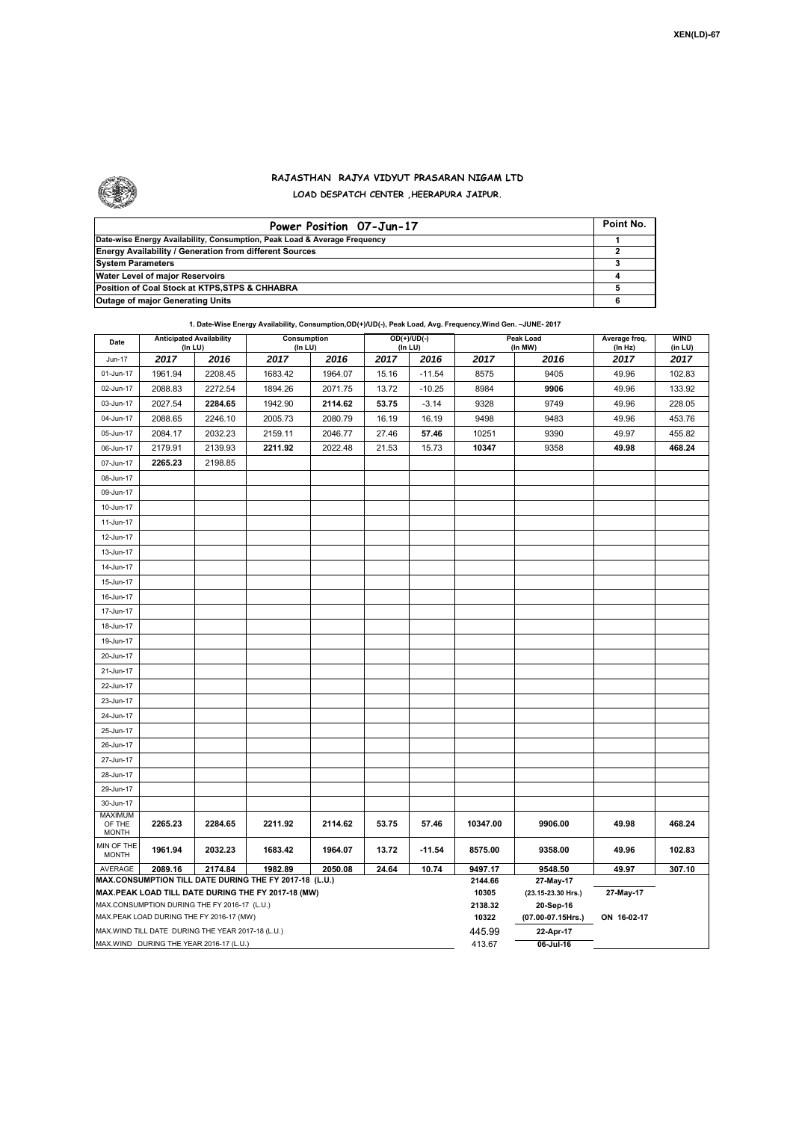

## **RAJASTHAN RAJYA VIDYUT PRASARAN NIGAM LTD LOAD DESPATCH CENTER ,HEERAPURA JAIPUR.**

| Power Position 07-Jun-17                                                  | Point No. |
|---------------------------------------------------------------------------|-----------|
| Date-wise Energy Availability, Consumption, Peak Load & Average Frequency |           |
| <b>Energy Availability / Generation from different Sources</b>            |           |
| <b>System Parameters</b>                                                  |           |
| Water Level of major Reservoirs                                           |           |
| Position of Coal Stock at KTPS.STPS & CHHABRA                             |           |
| <b>Outage of major Generating Units</b>                                   |           |

## **1. Date-Wise Energy Availability, Consumption,OD(+)/UD(-), Peak Load, Avg. Frequency,Wind Gen. –JUNE- 2017**

| Date                                               | <b>Anticipated Availability</b><br>(In LU)        |         | Consumption<br>(In LU)                                 |         |       | OD(+)/UD(-)<br>(In LU) |                  | Peak Load<br>(In MW)   | Average freq.<br>(ln Hz) | WIND<br>(in LU) |  |  |
|----------------------------------------------------|---------------------------------------------------|---------|--------------------------------------------------------|---------|-------|------------------------|------------------|------------------------|--------------------------|-----------------|--|--|
| Jun-17                                             | 2017                                              | 2016    | 2017                                                   | 2016    | 2017  | 2016                   | 2017             | 2016                   | 2017                     | 2017            |  |  |
| 01-Jun-17                                          | 1961.94                                           | 2208.45 | 1683.42                                                | 1964.07 | 15.16 | $-11.54$               | 8575             | 9405                   | 49.96                    | 102.83          |  |  |
| 02-Jun-17                                          | 2088.83                                           | 2272.54 | 1894.26                                                | 2071.75 | 13.72 | $-10.25$               | 8984             | 9906                   | 49.96                    | 133.92          |  |  |
| 03-Jun-17                                          | 2027.54                                           | 2284.65 | 1942.90                                                | 2114.62 | 53.75 | $-3.14$                | 9328             | 9749                   | 49.96                    | 228.05          |  |  |
| 04-Jun-17                                          | 2088.65                                           | 2246.10 | 2005.73                                                | 2080.79 | 16.19 | 16.19                  | 9498             | 9483                   | 49.96                    | 453.76          |  |  |
| 05-Jun-17                                          | 2084.17                                           | 2032.23 | 2159.11                                                | 2046.77 | 27.46 | 57.46                  | 10251            | 9390                   | 49.97                    | 455.82          |  |  |
| 06-Jun-17                                          | 2179.91                                           | 2139.93 | 2211.92                                                | 2022.48 | 21.53 | 15.73                  | 10347            | 9358                   | 49.98                    | 468.24          |  |  |
| 07-Jun-17                                          | 2265.23                                           | 2198.85 |                                                        |         |       |                        |                  |                        |                          |                 |  |  |
| 08-Jun-17                                          |                                                   |         |                                                        |         |       |                        |                  |                        |                          |                 |  |  |
| 09-Jun-17                                          |                                                   |         |                                                        |         |       |                        |                  |                        |                          |                 |  |  |
| 10-Jun-17                                          |                                                   |         |                                                        |         |       |                        |                  |                        |                          |                 |  |  |
| 11-Jun-17                                          |                                                   |         |                                                        |         |       |                        |                  |                        |                          |                 |  |  |
| 12-Jun-17                                          |                                                   |         |                                                        |         |       |                        |                  |                        |                          |                 |  |  |
| 13-Jun-17                                          |                                                   |         |                                                        |         |       |                        |                  |                        |                          |                 |  |  |
| 14-Jun-17                                          |                                                   |         |                                                        |         |       |                        |                  |                        |                          |                 |  |  |
| 15-Jun-17                                          |                                                   |         |                                                        |         |       |                        |                  |                        |                          |                 |  |  |
| 16-Jun-17                                          |                                                   |         |                                                        |         |       |                        |                  |                        |                          |                 |  |  |
| 17-Jun-17                                          |                                                   |         |                                                        |         |       |                        |                  |                        |                          |                 |  |  |
| 18-Jun-17                                          |                                                   |         |                                                        |         |       |                        |                  |                        |                          |                 |  |  |
| 19-Jun-17                                          |                                                   |         |                                                        |         |       |                        |                  |                        |                          |                 |  |  |
| 20-Jun-17                                          |                                                   |         |                                                        |         |       |                        |                  |                        |                          |                 |  |  |
| 21-Jun-17                                          |                                                   |         |                                                        |         |       |                        |                  |                        |                          |                 |  |  |
| 22-Jun-17                                          |                                                   |         |                                                        |         |       |                        |                  |                        |                          |                 |  |  |
| 23-Jun-17                                          |                                                   |         |                                                        |         |       |                        |                  |                        |                          |                 |  |  |
| 24-Jun-17                                          |                                                   |         |                                                        |         |       |                        |                  |                        |                          |                 |  |  |
| 25-Jun-17                                          |                                                   |         |                                                        |         |       |                        |                  |                        |                          |                 |  |  |
| 26-Jun-17                                          |                                                   |         |                                                        |         |       |                        |                  |                        |                          |                 |  |  |
| 27-Jun-17                                          |                                                   |         |                                                        |         |       |                        |                  |                        |                          |                 |  |  |
| 28-Jun-17                                          |                                                   |         |                                                        |         |       |                        |                  |                        |                          |                 |  |  |
| 29-Jun-17                                          |                                                   |         |                                                        |         |       |                        |                  |                        |                          |                 |  |  |
| 30-Jun-17                                          |                                                   |         |                                                        |         |       |                        |                  |                        |                          |                 |  |  |
| <b>MAXIMUM</b><br>OF THE                           | 2265.23                                           | 2284.65 | 2211.92                                                | 2114.62 | 53.75 | 57.46                  | 10347.00         | 9906.00                | 49.98                    | 468.24          |  |  |
| <b>MONTH</b>                                       |                                                   |         |                                                        |         |       |                        |                  |                        |                          |                 |  |  |
| MIN OF THE<br><b>MONTH</b>                         | 1961.94                                           | 2032.23 | 1683.42                                                | 1964.07 | 13.72 | $-11.54$               | 8575.00          | 9358.00                | 49.96                    | 102.83          |  |  |
| AVERAGE                                            | 2089.16                                           | 2174.84 | 1982.89                                                | 2050.08 | 24.64 | 10.74                  | 9497.17          | 9548.50                | 49.97                    | 307.10          |  |  |
|                                                    |                                                   |         | MAX.CONSUMPTION TILL DATE DURING THE FY 2017-18 (L.U.) |         |       |                        | 2144.66          | 27-May-17              |                          |                 |  |  |
| MAX.PEAK LOAD TILL DATE DURING THE FY 2017-18 (MW) |                                                   |         |                                                        |         |       |                        |                  | (23.15-23.30 Hrs.)     | 27-May-17                |                 |  |  |
| MAX.CONSUMPTION DURING THE FY 2016-17 (L.U.)       |                                                   |         |                                                        |         |       |                        |                  | 20-Sep-16              |                          |                 |  |  |
| MAX.PEAK LOAD DURING THE FY 2016-17 (MW)           |                                                   |         |                                                        |         |       |                        |                  | $(07.00 - 07.15$ Hrs.) | ON 16-02-17              |                 |  |  |
|                                                    | MAX.WIND TILL DATE DURING THE YEAR 2017-18 (L.U.) |         |                                                        |         |       |                        | 445.99<br>413.67 | 22-Apr-17              |                          |                 |  |  |
| MAX.WIND DURING THE YEAR 2016-17 (L.U.)            |                                                   |         |                                                        |         |       |                        |                  | 06-Jul-16              |                          |                 |  |  |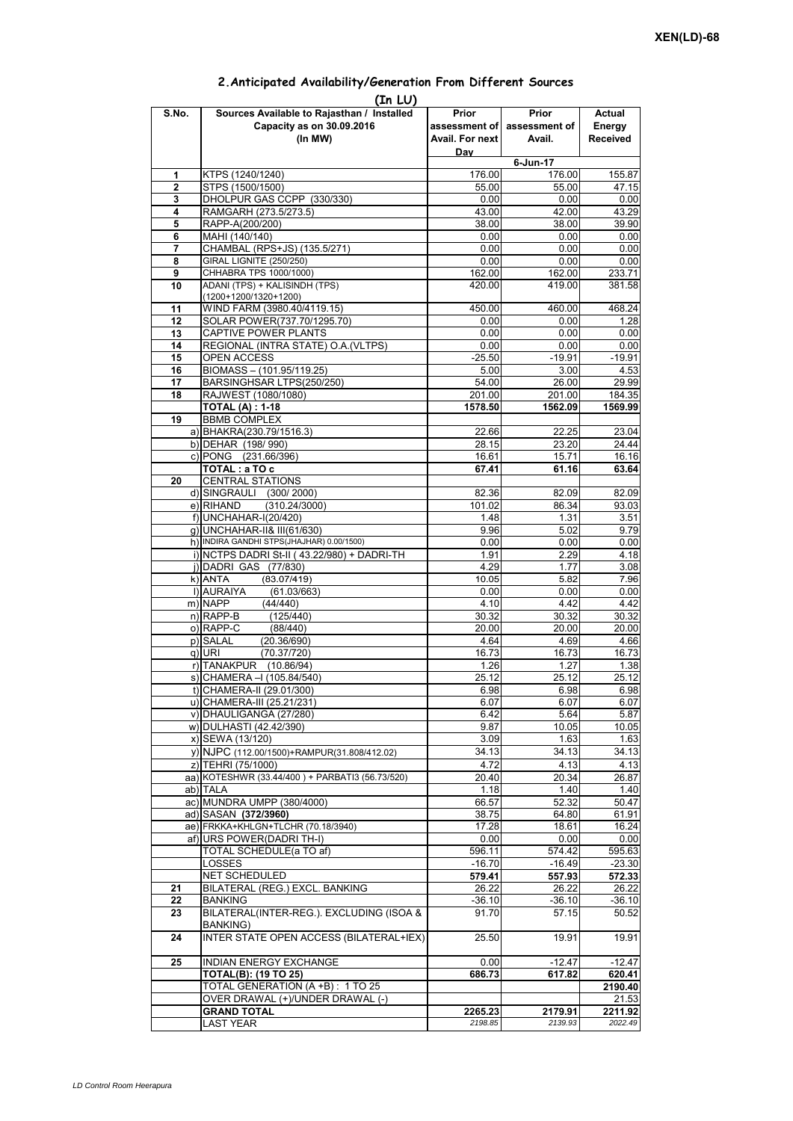#### **Prior assessment of Avail. For next Day Prior assessment of Avail. Actual Energy Received 1** KTPS (1240/1240) 176.00 176.00 155.87 **2** STPS (1500/1500) 55.00 55.00 47.15 **3** DHOLPUR GAS CCPP (330/330) **4** RAMGARH (273.5/273.5) 43.00 42.00 42.29<br> **5** RAPP-A(200/200) 43.90 38.00 38.00 39.90 **5** RAPP-A(200/200) **38.00** 38.00 **38.00** 38.00 **6** MAHI (140/140) **38.00 6** MAHI (140/140) 0.00 0.00 0.00 **7** CHAMBAL (RPS+JS) (135.5/271) 0.00 0.00 0.00 0.00 **8** GIRAL LIGNITE (250/250) 0.00 0.00 0.00 0.00<br> **9** CHHABRA TPS 1000/1000) 162.00 162.00 233.71 **9** CHHABRA TPS 1000/1000) **10** ADANI (TPS) + KALISINDH (TPS) (1200+1200/1320+1200) 420.00 419.00 381.58 **11** WIND FARM (3980.40/4119.15) 450.00 460.00 468.24 **12** SOLAR POWER(737.70/1295.70) 0.00 0.00 0.00 1.28 **13** CAPTIVE POWER PLANTS 0.00 0.00 0.00 0.00 **14** REGIONAL (INTRA STATE) O.A.(VLTPS) 0.00 0.00 0.00 0.00 0.00 15 OPEN ACCESS -25.50 -19.91 -19.91 -19.91<br>16 BIOMASS – (101.95/119.25) -25.50 -3.00 -4.53 **BIOMASS – (101.95/119.25)** 17 BARSINGHSAR LTPS(250/250) 64.00 26.00 29.99 **18** RAJWEST (1080/1080) 201.00 201.00 184.35 **TOTAL (A) : 1-18 1578.50 1562.09 1569.99 19** BBMB COMPLEX a) BHAKRA(230.79/1516.3) 22.66 22.25 23.04<br>b) DEHAR (198/990) 28.15 23.20 24.44 b) DEHAR (198/ 990) c) PONG (231.66/396) 16.61 16.61 15.71 16.16 **TOTAL : a TO c** 67.41 61.16 63.64 **20** CENTRAL STATIONS d) SINGRAULI (300/2000) 82.09 82.09 82.09 82.09 82.09<br>e) RIHAND (310.24/3000) 82.09 101.02 86.34 93.03  $(310.24/3000)$ f) 1.48 1.31 3.51 g) UNCHAHAR-II& III(61/630) 9.96 5.02 9.79 h) INDIRA GANDHI STPS(JHAJHAR) 0.00/1500) 0.00 0.00 0.00 0.00 0.00 0.00 i) NCTPS DADRI St-II (43.22/980) + DADRI-TH 1.91 2.29 2.29 4.18 j) DADRI GAS (77/830) 4.29 1.77 3.08 k) ANTA (83 07/419) 10 05 5 82 7 96 **(In LU) S.No. Sources Available to Rajasthan / Installed Capacity as on 30.09.2016 (In MW) 6-Jun-17** 2)|ANTA (83.07/419) 10.05| 5.82| 7.96<br>|-<br>|0.00| 0.00 0.00 0.00 0.00 0.00 m) NAPP (44/440) 4.10 4.42 4.42 n) RAPP-B (125/440) 30.32 30.32 30.32 o) RAPP-C (88/440) 20.00 20.00 20.00 p) SALAL (20.36/690) 4.64 4.69 4.66<br>q) URI (70.37/720) 4.66 16.73 16.73 16.73 q) URI (70.37/720) 16.73 16.73 16.73 r) TANAKPUR (10.86/94) 1.26 1.27 1.38<br>s) CHAMERA –I (105.84/540) 25.12 25.12 25.12 25.12  $\overline{s}$ ) CHAMERA –I (105.84/540) t) CHAMERA-II (29.01/300) 6.98 6.98 6.98 6.98 u) CHAMERA-III (25.21/231) 6.07 6.07 6.07 v) DHAULIGANGA (27/280) 6.42 5.64 5.87 w) DULHASTI (42.42/390) 9.87 10.05 10.05 x) SEWA (13/120) 3.09 1.63 1.63 1.63<br>v) NJPC (112.00/1500) + RAMPUR(31.808/412.02) 34.13 34.13 34.13 34.13 y) NJPC (112.00/1500) + RAMPUR(31.808/412.02) 34.13 34.13 z) TEHRI (75/1000)  $\begin{array}{|l|l|l|l|l|}\n\hline\n2&4.13 &4.13 &4.13 \\
\hline\na) KOTESHWR (33.44/400) + PARBATI3 (56.73/520) &20.40 &20.34 &26.87\n\end{array}$ aa) KOTESHWR (33.44/400) + PARBATI3 (56.73/520) ab) TALA 1.18 1.40 1.40 ac) MUNDRA UMPP (380/4000) 66.57 52.32 50.47 ad) SASAN **(372/3960)** 38.75 64.80 61.91<br>ae) FRKKA+KHLGN+TLCHR (70.18/3940) 17.28 18.61 16.24 ae) FRKKA+KHLGN+TLCHR (70.18/3940) af) URS POWER(DADRI TH-I) 2000 0.00 0.00 0.00 TOTAL SCHEDULE(a TO af) 596.11 574.42 595.63 LOSSES -16.70 -16.49 -23.30 NET SCHEDULED **579.41 557.93 572.33 21** BILATERAL (REG.) EXCL. BANKING 26.22 26.22 26.22 **22** BANKING -36.10 -36.10 -36.10 -36.10 -36.10 **23** BILATERAL(INTER-REG.). EXCLUDING (ISOA & BANKING) 91.70 57.15 50.52 **24 INTER STATE OPEN ACCESS (BILATERAL+IEX) 25.50 19.91 19.91** 19.91 **25 INDIAN ENERGY EXCHANGE 0.00 -12.47 -12.47 TOTAL(B): (19 TO 25) 686.73 617.82 620.41** TOTAL GENERATION (A +B) : 1 TO 25 **2190.40** OVER DRAWAL (+)/UNDER DRAWAL (-) **GRAND TOTAL 2265.23 2179.91 2211.92** LAST YEAR *2198.85 2139.93 2022.49*

## **2.Anticipated Availability/Generation From Different Sources**